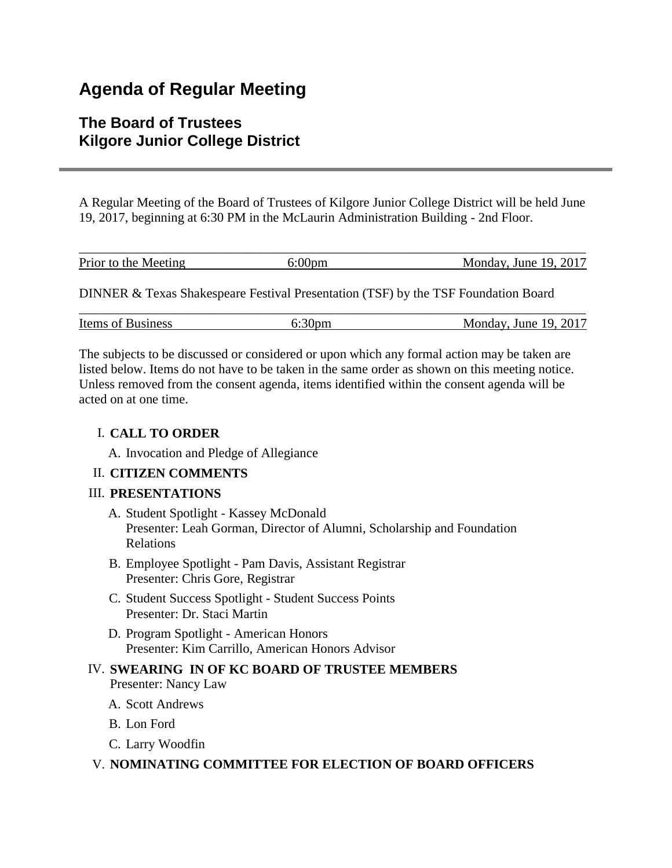## **Agenda of Regular Meeting**

## **The Board of Trustees Kilgore Junior College District**

A Regular Meeting of the Board of Trustees of Kilgore Junior College District will be held June 19, 2017, beginning at 6:30 PM in the McLaurin Administration Building - 2nd Floor.

| Prior to the Meeting | Monday, June 19, 2017 |
|----------------------|-----------------------|

DINNER & Texas Shakespeare Festival Presentation (TSF) by the TSF Foundation Board

| <b>Items of Business</b> | -JDH) | $\sqrt{.}$ June 19, 2017<br>Monday. |
|--------------------------|-------|-------------------------------------|

The subjects to be discussed or considered or upon which any formal action may be taken are listed below. Items do not have to be taken in the same order as shown on this meeting notice. Unless removed from the consent agenda, items identified within the consent agenda will be acted on at one time.

#### I. **CALL TO ORDER**

A. Invocation and Pledge of Allegiance

#### II. **CITIZEN COMMENTS**

#### III. **PRESENTATIONS**

- A. Student Spotlight Kassey McDonald Presenter: Leah Gorman, Director of Alumni, Scholarship and Foundation Relations
- B. Employee Spotlight Pam Davis, Assistant Registrar Presenter: Chris Gore, Registrar
- C. Student Success Spotlight Student Success Points Presenter: Dr. Staci Martin
- D. Program Spotlight American Honors Presenter: Kim Carrillo, American Honors Advisor

# IV. **SWEARING IN OF KC BOARD OF TRUSTEE MEMBERS**

- Presenter: Nancy Law
- A. Scott Andrews
- B. Lon Ford
- C. Larry Woodfin

#### V. **NOMINATING COMMITTEE FOR ELECTION OF BOARD OFFICERS**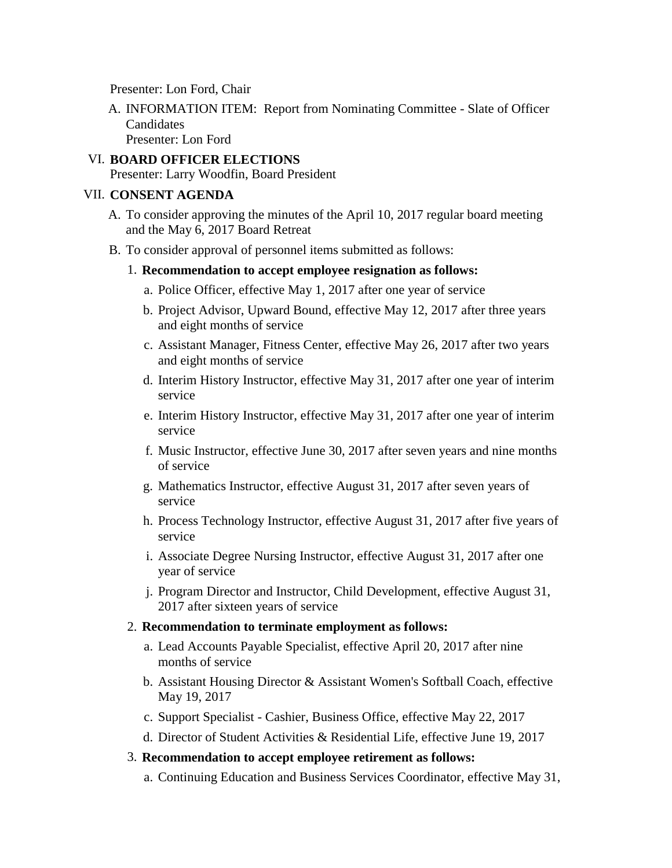Presenter: Lon Ford, Chair

- A. INFORMATION ITEM: Report from Nominating Committee Slate of Officer **Candidates** Presenter: Lon Ford
- VI. **BOARD OFFICER ELECTIONS** Presenter: Larry Woodfin, Board President

#### VII. **CONSENT AGENDA**

- A. To consider approving the minutes of the April 10, 2017 regular board meeting and the May 6, 2017 Board Retreat
- B. To consider approval of personnel items submitted as follows:
	- 1. **Recommendation to accept employee resignation as follows:**
		- a. Police Officer, effective May 1, 2017 after one year of service
		- b. Project Advisor, Upward Bound, effective May 12, 2017 after three years and eight months of service
		- c. Assistant Manager, Fitness Center, effective May 26, 2017 after two years and eight months of service
		- d. Interim History Instructor, effective May 31, 2017 after one year of interim service
		- e. Interim History Instructor, effective May 31, 2017 after one year of interim service
		- f. Music Instructor, effective June 30, 2017 after seven years and nine months of service
		- g. Mathematics Instructor, effective August 31, 2017 after seven years of service
		- h. Process Technology Instructor, effective August 31, 2017 after five years of service
		- i. Associate Degree Nursing Instructor, effective August 31, 2017 after one year of service
		- j. Program Director and Instructor, Child Development, effective August 31, 2017 after sixteen years of service

#### 2. **Recommendation to terminate employment as follows:**

- a. Lead Accounts Payable Specialist, effective April 20, 2017 after nine months of service
- b. Assistant Housing Director & Assistant Women's Softball Coach, effective May 19, 2017
- c. Support Specialist Cashier, Business Office, effective May 22, 2017
- d. Director of Student Activities & Residential Life, effective June 19, 2017

#### 3. **Recommendation to accept employee retirement as follows:**

a. Continuing Education and Business Services Coordinator, effective May 31,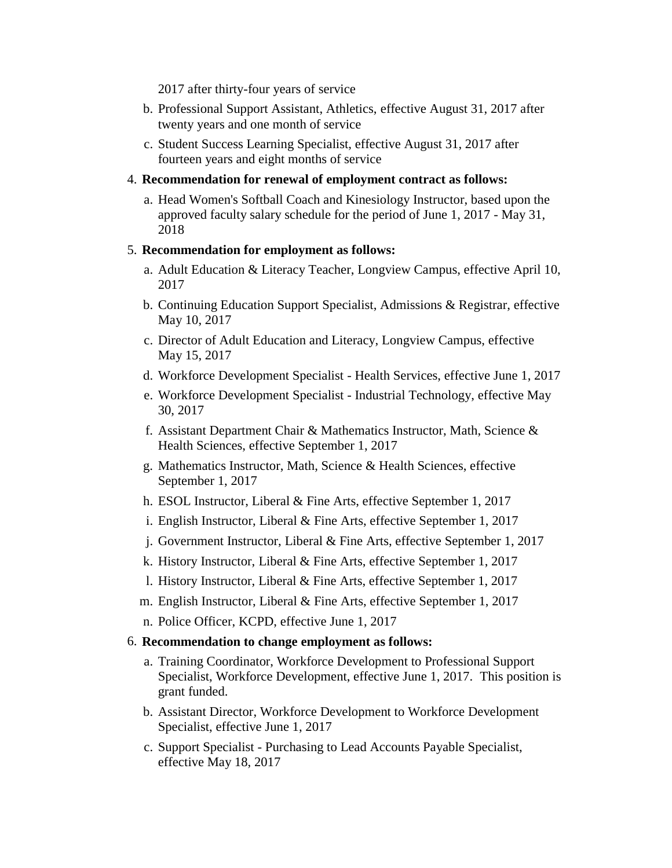2017 after thirty-four years of service

- b. Professional Support Assistant, Athletics, effective August 31, 2017 after twenty years and one month of service
- c. Student Success Learning Specialist, effective August 31, 2017 after fourteen years and eight months of service

#### 4. **Recommendation for renewal of employment contract as follows:**

a. Head Women's Softball Coach and Kinesiology Instructor, based upon the approved faculty salary schedule for the period of June 1, 2017 - May 31, 2018

#### 5. **Recommendation for employment as follows:**

- a. Adult Education & Literacy Teacher, Longview Campus, effective April 10, 2017
- b. Continuing Education Support Specialist, Admissions & Registrar, effective May 10, 2017
- c. Director of Adult Education and Literacy, Longview Campus, effective May 15, 2017
- d. Workforce Development Specialist Health Services, effective June 1, 2017
- e. Workforce Development Specialist Industrial Technology, effective May 30, 2017
- f. Assistant Department Chair & Mathematics Instructor, Math, Science & Health Sciences, effective September 1, 2017
- g. Mathematics Instructor, Math, Science & Health Sciences, effective September 1, 2017
- h. ESOL Instructor, Liberal & Fine Arts, effective September 1, 2017
- i. English Instructor, Liberal & Fine Arts, effective September 1, 2017
- j. Government Instructor, Liberal & Fine Arts, effective September 1, 2017
- k. History Instructor, Liberal & Fine Arts, effective September 1, 2017
- l. History Instructor, Liberal & Fine Arts, effective September 1, 2017
- m. English Instructor, Liberal & Fine Arts, effective September 1, 2017
- n. Police Officer, KCPD, effective June 1, 2017

#### 6. **Recommendation to change employment as follows:**

- a. Training Coordinator, Workforce Development to Professional Support Specialist, Workforce Development, effective June 1, 2017. This position is grant funded.
- b. Assistant Director, Workforce Development to Workforce Development Specialist, effective June 1, 2017
- c. Support Specialist Purchasing to Lead Accounts Payable Specialist, effective May 18, 2017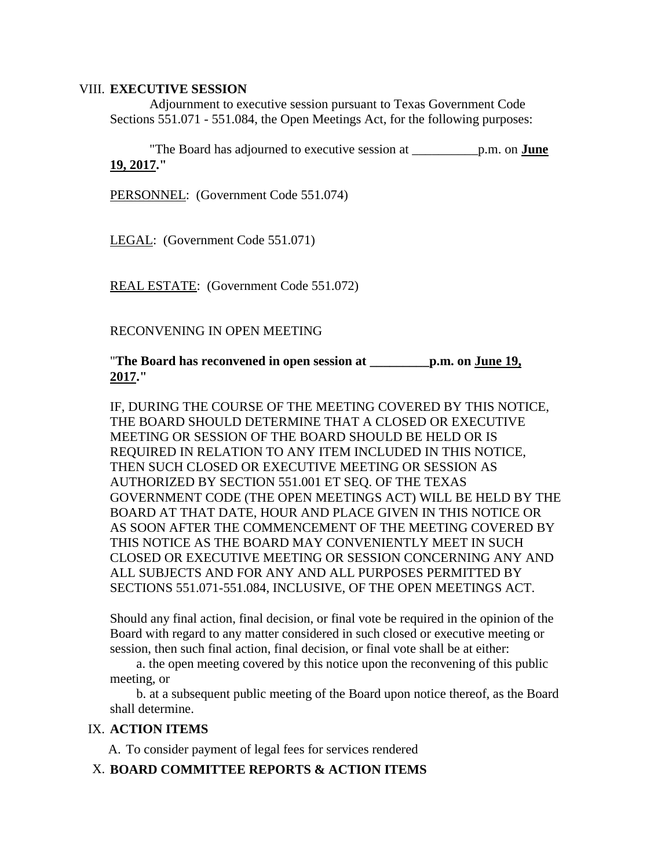#### VIII. **EXECUTIVE SESSION**

 Adjournment to executive session pursuant to Texas Government Code Sections 551.071 - 551.084, the Open Meetings Act, for the following purposes:

 "The Board has adjourned to executive session at \_\_\_\_\_\_\_\_\_\_p.m. on **June 19, 2017."**

PERSONNEL: (Government Code 551.074)

LEGAL: (Government Code 551.071)

REAL ESTATE: (Government Code 551.072)

RECONVENING IN OPEN MEETING

"**The Board has reconvened in open session at \_\_\_\_\_\_\_\_\_p.m. on June 19, 2017."**

IF, DURING THE COURSE OF THE MEETING COVERED BY THIS NOTICE, THE BOARD SHOULD DETERMINE THAT A CLOSED OR EXECUTIVE MEETING OR SESSION OF THE BOARD SHOULD BE HELD OR IS REQUIRED IN RELATION TO ANY ITEM INCLUDED IN THIS NOTICE, THEN SUCH CLOSED OR EXECUTIVE MEETING OR SESSION AS AUTHORIZED BY SECTION 551.001 ET SEQ. OF THE TEXAS GOVERNMENT CODE (THE OPEN MEETINGS ACT) WILL BE HELD BY THE BOARD AT THAT DATE, HOUR AND PLACE GIVEN IN THIS NOTICE OR AS SOON AFTER THE COMMENCEMENT OF THE MEETING COVERED BY THIS NOTICE AS THE BOARD MAY CONVENIENTLY MEET IN SUCH CLOSED OR EXECUTIVE MEETING OR SESSION CONCERNING ANY AND ALL SUBJECTS AND FOR ANY AND ALL PURPOSES PERMITTED BY SECTIONS 551.071-551.084, INCLUSIVE, OF THE OPEN MEETINGS ACT.

Should any final action, final decision, or final vote be required in the opinion of the Board with regard to any matter considered in such closed or executive meeting or session, then such final action, final decision, or final vote shall be at either:

 a. the open meeting covered by this notice upon the reconvening of this public meeting, or

 b. at a subsequent public meeting of the Board upon notice thereof, as the Board shall determine.

#### IX. **ACTION ITEMS**

A. To consider payment of legal fees for services rendered

#### X. **BOARD COMMITTEE REPORTS & ACTION ITEMS**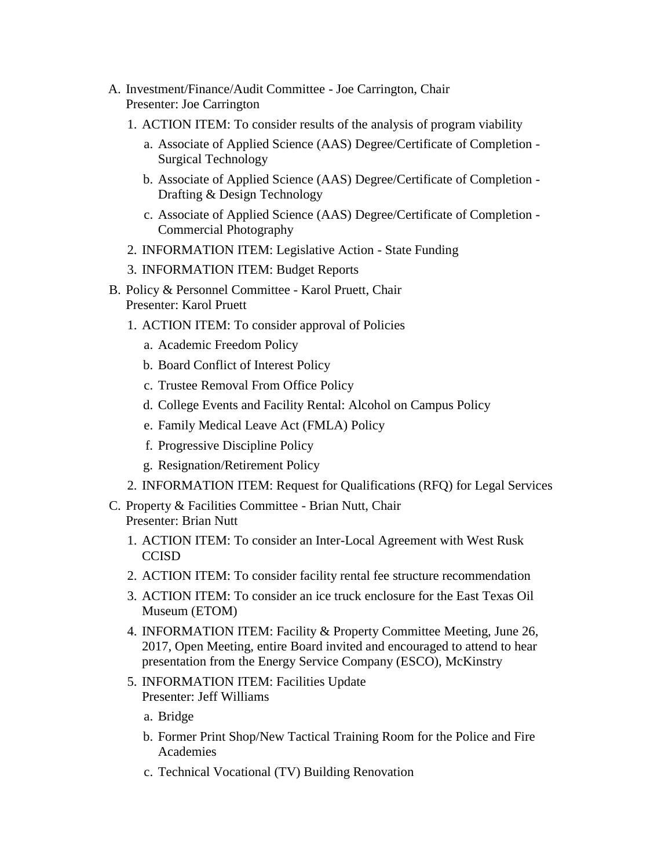- A. Investment/Finance/Audit Committee Joe Carrington, Chair Presenter: Joe Carrington
	- 1. ACTION ITEM: To consider results of the analysis of program viability
		- a. Associate of Applied Science (AAS) Degree/Certificate of Completion Surgical Technology
		- b. Associate of Applied Science (AAS) Degree/Certificate of Completion Drafting & Design Technology
		- c. Associate of Applied Science (AAS) Degree/Certificate of Completion Commercial Photography
	- 2. INFORMATION ITEM: Legislative Action State Funding
	- 3. INFORMATION ITEM: Budget Reports
- B. Policy & Personnel Committee Karol Pruett, Chair Presenter: Karol Pruett
	- 1. ACTION ITEM: To consider approval of Policies
		- a. Academic Freedom Policy
		- b. Board Conflict of Interest Policy
		- c. Trustee Removal From Office Policy
		- d. College Events and Facility Rental: Alcohol on Campus Policy
		- e. Family Medical Leave Act (FMLA) Policy
		- f. Progressive Discipline Policy
		- g. Resignation/Retirement Policy
	- 2. INFORMATION ITEM: Request for Qualifications (RFQ) for Legal Services
- C. Property & Facilities Committee Brian Nutt, Chair Presenter: Brian Nutt
	- 1. ACTION ITEM: To consider an Inter-Local Agreement with West Rusk **CCISD**
	- 2. ACTION ITEM: To consider facility rental fee structure recommendation
	- 3. ACTION ITEM: To consider an ice truck enclosure for the East Texas Oil Museum (ETOM)
	- 4. INFORMATION ITEM: Facility & Property Committee Meeting, June 26, 2017, Open Meeting, entire Board invited and encouraged to attend to hear presentation from the Energy Service Company (ESCO), McKinstry
	- 5. INFORMATION ITEM: Facilities Update Presenter: Jeff Williams
		- a. Bridge
		- b. Former Print Shop/New Tactical Training Room for the Police and Fire Academies
		- c. Technical Vocational (TV) Building Renovation